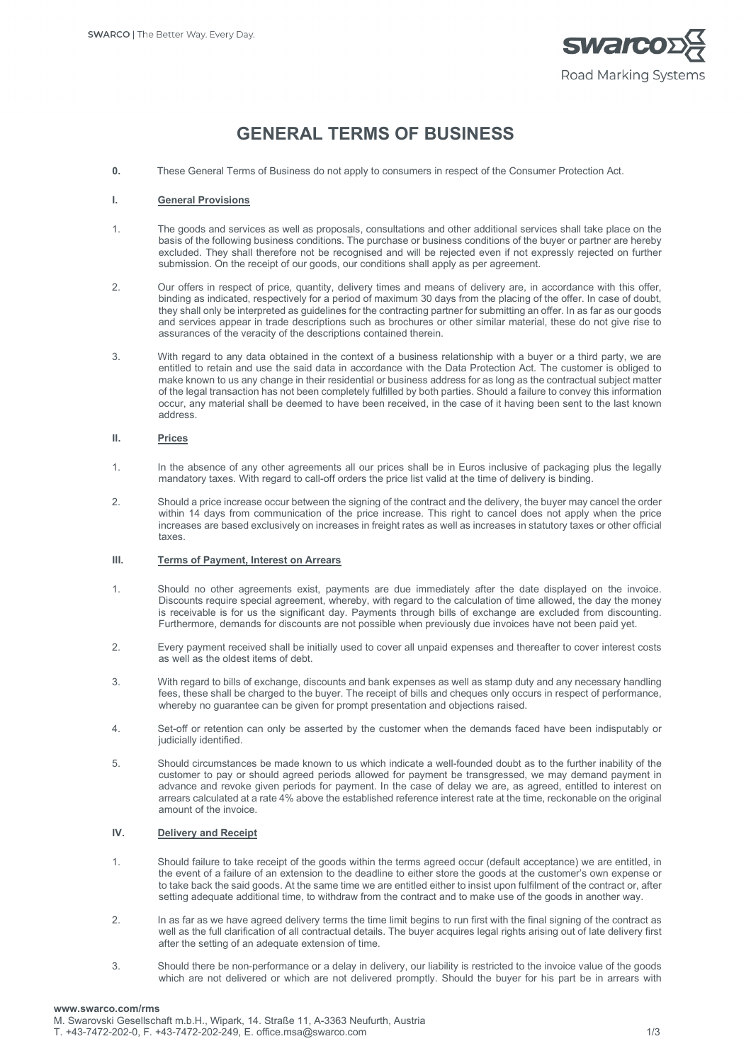

# **GENERAL TERMS OF BUSINESS**

**0.** These General Terms of Business do not apply to consumers in respect of the Consumer Protection Act.

#### **I. General Provisions**

- 1. The goods and services as well as proposals, consultations and other additional services shall take place on the basis of the following business conditions. The purchase or business conditions of the buyer or partner are hereby excluded. They shall therefore not be recognised and will be rejected even if not expressly rejected on further submission. On the receipt of our goods, our conditions shall apply as per agreement.
- 2. Our offers in respect of price, quantity, delivery times and means of delivery are, in accordance with this offer, binding as indicated, respectively for a period of maximum 30 days from the placing of the offer. In case of doubt, they shall only be interpreted as guidelines for the contracting partner for submitting an offer. In as far as our goods and services appear in trade descriptions such as brochures or other similar material, these do not give rise to assurances of the veracity of the descriptions contained therein.
- 3. With regard to any data obtained in the context of a business relationship with a buyer or a third party, we are entitled to retain and use the said data in accordance with the Data Protection Act. The customer is obliged to make known to us any change in their residential or business address for as long as the contractual subject matter of the legal transaction has not been completely fulfilled by both parties. Should a failure to convey this information occur, any material shall be deemed to have been received, in the case of it having been sent to the last known address.

## **II. Prices**

- 1. In the absence of any other agreements all our prices shall be in Euros inclusive of packaging plus the legally mandatory taxes. With regard to call-off orders the price list valid at the time of delivery is binding.
- 2. Should a price increase occur between the signing of the contract and the delivery, the buyer may cancel the order within 14 days from communication of the price increase. This right to cancel does not apply when the price increases are based exclusively on increases in freight rates as well as increases in statutory taxes or other official taxes.

### **III. Terms of Payment, Interest on Arrears**

- 1. Should no other agreements exist, payments are due immediately after the date displayed on the invoice. Discounts require special agreement, whereby, with regard to the calculation of time allowed, the day the money is receivable is for us the significant day. Payments through bills of exchange are excluded from discounting. Furthermore, demands for discounts are not possible when previously due invoices have not been paid yet.
- 2. Every payment received shall be initially used to cover all unpaid expenses and thereafter to cover interest costs as well as the oldest items of debt.
- 3. With regard to bills of exchange, discounts and bank expenses as well as stamp duty and any necessary handling fees, these shall be charged to the buyer. The receipt of bills and cheques only occurs in respect of performance, whereby no guarantee can be given for prompt presentation and objections raised.
- 4. Set-off or retention can only be asserted by the customer when the demands faced have been indisputably or judicially identified.
- 5. Should circumstances be made known to us which indicate a well-founded doubt as to the further inability of the customer to pay or should agreed periods allowed for payment be transgressed, we may demand payment in advance and revoke given periods for payment. In the case of delay we are, as agreed, entitled to interest on arrears calculated at a rate 4% above the established reference interest rate at the time, reckonable on the original amount of the invoice.

## **IV. Delivery and Receipt**

- 1. Should failure to take receipt of the goods within the terms agreed occur (default acceptance) we are entitled, in the event of a failure of an extension to the deadline to either store the goods at the customer's own expense or to take back the said goods. At the same time we are entitled either to insist upon fulfilment of the contract or, after setting adequate additional time, to withdraw from the contract and to make use of the goods in another way.
- 2. In as far as we have agreed delivery terms the time limit begins to run first with the final signing of the contract as well as the full clarification of all contractual details. The buyer acquires legal rights arising out of late delivery first after the setting of an adequate extension of time.
- 3. Should there be non-performance or a delay in delivery, our liability is restricted to the invoice value of the goods which are not delivered or which are not delivered promptly. Should the buyer for his part be in arrears with

## **www.swarco.com/rms**

M. Swarovski Gesellschaft m.b.H., Wipark, 14. Straße 11, A-3363 Neufurth, Austria T. +43-7472-202-0, F. +43-7472-202-249, E. office.msa@swarco.com 1/3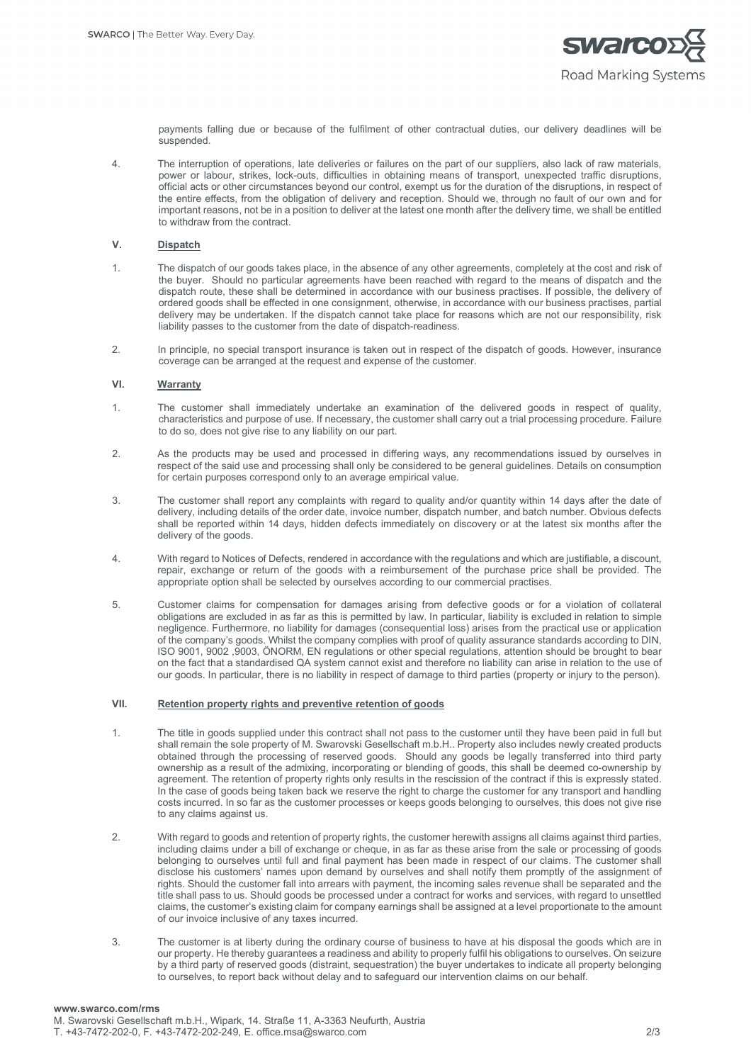

payments falling due or because of the fulfilment of other contractual duties, our delivery deadlines will be suspended.

4. The interruption of operations, late deliveries or failures on the part of our suppliers, also lack of raw materials, power or labour, strikes, lock-outs, difficulties in obtaining means of transport, unexpected traffic disruptions, official acts or other circumstances beyond our control, exempt us for the duration of the disruptions, in respect of the entire effects, from the obligation of delivery and reception. Should we, through no fault of our own and for important reasons, not be in a position to deliver at the latest one month after the delivery time, we shall be entitled to withdraw from the contract.

## **V. Dispatch**

- 1. The dispatch of our goods takes place, in the absence of any other agreements, completely at the cost and risk of the buyer. Should no particular agreements have been reached with regard to the means of dispatch and the dispatch route, these shall be determined in accordance with our business practises. If possible, the delivery of ordered goods shall be effected in one consignment, otherwise, in accordance with our business practises, partial delivery may be undertaken. If the dispatch cannot take place for reasons which are not our responsibility, risk liability passes to the customer from the date of dispatch-readiness.
- 2. In principle, no special transport insurance is taken out in respect of the dispatch of goods. However, insurance coverage can be arranged at the request and expense of the customer.

## **VI. Warranty**

- 1. The customer shall immediately undertake an examination of the delivered goods in respect of quality, characteristics and purpose of use. If necessary, the customer shall carry out a trial processing procedure. Failure to do so, does not give rise to any liability on our part.
- 2. As the products may be used and processed in differing ways, any recommendations issued by ourselves in respect of the said use and processing shall only be considered to be general guidelines. Details on consumption for certain purposes correspond only to an average empirical value.
- 3. The customer shall report any complaints with regard to quality and/or quantity within 14 days after the date of delivery, including details of the order date, invoice number, dispatch number, and batch number. Obvious defects shall be reported within 14 days, hidden defects immediately on discovery or at the latest six months after the delivery of the goods.
- 4. With regard to Notices of Defects, rendered in accordance with the regulations and which are justifiable, a discount, repair, exchange or return of the goods with a reimbursement of the purchase price shall be provided. The appropriate option shall be selected by ourselves according to our commercial practises.
- 5. Customer claims for compensation for damages arising from defective goods or for a violation of collateral obligations are excluded in as far as this is permitted by law. In particular, liability is excluded in relation to simple negligence. Furthermore, no liability for damages (consequential loss) arises from the practical use or application of the company's goods. Whilst the company complies with proof of quality assurance standards according to DIN, ISO 9001, 9002 ,9003, ÖNORM, EN regulations or other special regulations, attention should be brought to bear on the fact that a standardised QA system cannot exist and therefore no liability can arise in relation to the use of our goods. In particular, there is no liability in respect of damage to third parties (property or injury to the person).

# **VII. Retention property rights and preventive retention of goods**

- 1. The title in goods supplied under this contract shall not pass to the customer until they have been paid in full but shall remain the sole property of M. Swarovski Gesellschaft m.b.H.. Property also includes newly created products obtained through the processing of reserved goods. Should any goods be legally transferred into third party ownership as a result of the admixing, incorporating or blending of goods, this shall be deemed co-ownership by agreement. The retention of property rights only results in the rescission of the contract if this is expressly stated. In the case of goods being taken back we reserve the right to charge the customer for any transport and handling costs incurred. In so far as the customer processes or keeps goods belonging to ourselves, this does not give rise to any claims against us.
- 2. With regard to goods and retention of property rights, the customer herewith assigns all claims against third parties, including claims under a bill of exchange or cheque, in as far as these arise from the sale or processing of goods belonging to ourselves until full and final payment has been made in respect of our claims. The customer shall disclose his customers' names upon demand by ourselves and shall notify them promptly of the assignment of rights. Should the customer fall into arrears with payment, the incoming sales revenue shall be separated and the title shall pass to us. Should goods be processed under a contract for works and services, with regard to unsettled claims, the customer's existing claim for company earnings shall be assigned at a level proportionate to the amount of our invoice inclusive of any taxes incurred.
- 3. The customer is at liberty during the ordinary course of business to have at his disposal the goods which are in our property. He thereby guarantees a readiness and ability to properly fulfil his obligations to ourselves. On seizure by a third party of reserved goods (distraint, sequestration) the buyer undertakes to indicate all property belonging to ourselves, to report back without delay and to safeguard our intervention claims on our behalf.